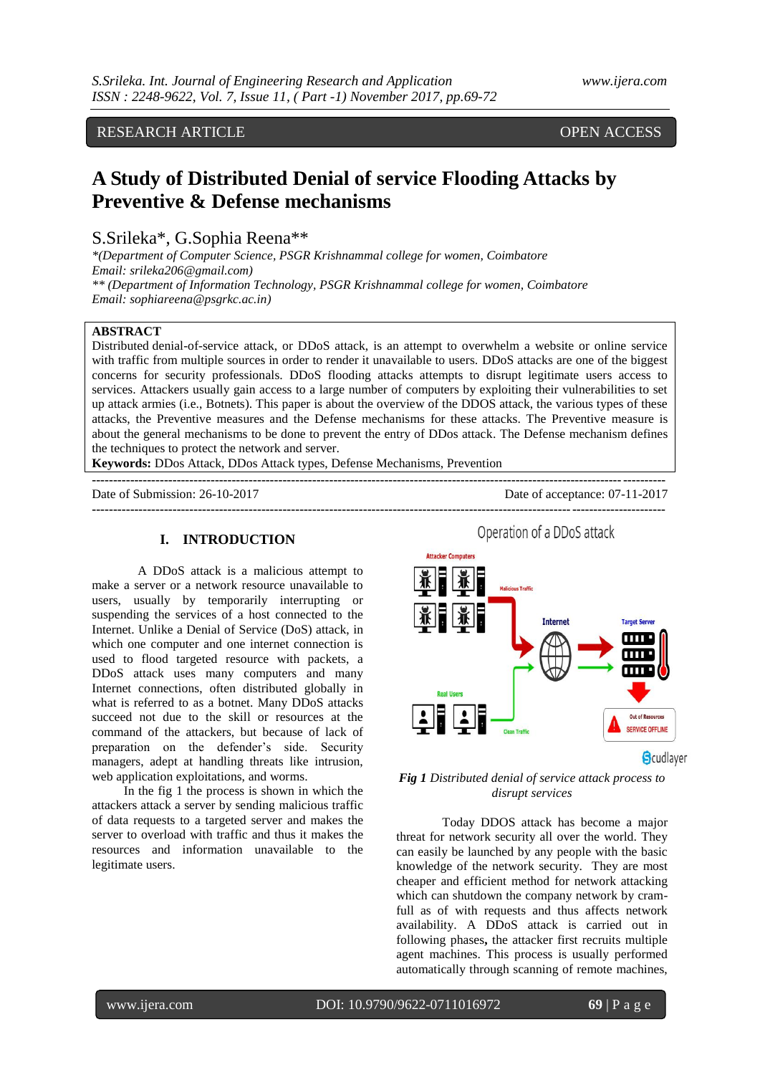RESEARCH ARTICLE OPEN ACCESS

# **A Study of Distributed Denial of service Flooding Attacks by Preventive & Defense mechanisms**

## S.Srileka\*, G.Sophia Reena\*\*

*\*(Department of Computer Science, PSGR Krishnammal college for women, Coimbatore Email: srileka206@gmail.com) \*\* (Department of Information Technology, PSGR Krishnammal college for women, Coimbatore Email: sophiareena@psgrkc.ac.in)*

## **ABSTRACT**

Distributed [denial-of-service attack,](https://www.akamai.com/us/en/resources/denial-of-service-attacks-dos.jsp) or DDoS attack, is an attempt to overwhelm a website or online service with traffic from multiple sources in order to render it unavailable to users. DDoS attacks are one of the biggest concerns for security professionals. DDoS flooding attacks attempts to disrupt legitimate users access to services. Attackers usually gain access to a large number of computers by exploiting their vulnerabilities to set up attack armies (i.e., Botnets). This paper is about the overview of the DDOS attack, the various types of these attacks, the Preventive measures and the Defense mechanisms for these attacks. The Preventive measure is about the general mechanisms to be done to prevent the entry of DDos attack. The Defense mechanism defines the techniques to protect the network and server.

**---------------------------------------------------------------------------------------------------------------------------------------**

**Keywords:** DDos Attack, DDos Attack types, Defense Mechanisms, Prevention **---------------------------------------------------------------------------------------------------------------------------------------**

Date of Submission: 26-10-2017 Date of acceptance: 07-11-2017

## **I. INTRODUCTION**

A DDoS attack is a malicious attempt to make a server or a network resource unavailable to users, usually by temporarily interrupting or suspending the services of a host connected to the Internet. Unlike a Denial of Service (DoS) attack, in which one computer and one internet connection is used to flood targeted resource with packets, a DDoS attack uses many computers and many Internet connections, often distributed globally in what is referred to as a botnet. Many DDoS attacks succeed not due to the skill or resources at the command of the attackers, but because of lack of preparation on the defender's side. Security managers, adept at handling threats like intrusion, web application exploitations, and worms.

 In the fig 1 the process is shown in which the attackers attack a server by sending malicious traffic of data requests to a targeted server and makes the server to overload with traffic and thus it makes the resources and information unavailable to the legitimate users.

Operation of a DDoS attack



## *Fig 1 Distributed denial of service attack process to disrupt services*

 Today DDOS attack has become a major threat for network security all over the world. They can easily be launched by any people with the basic knowledge of the network security. They are most cheaper and efficient method for network attacking which can shutdown the company network by cramfull as of with requests and thus affects network availability. A DDoS attack is carried out in following phases**,** the attacker first recruits multiple agent machines. This process is usually performed automatically through scanning of remote machines,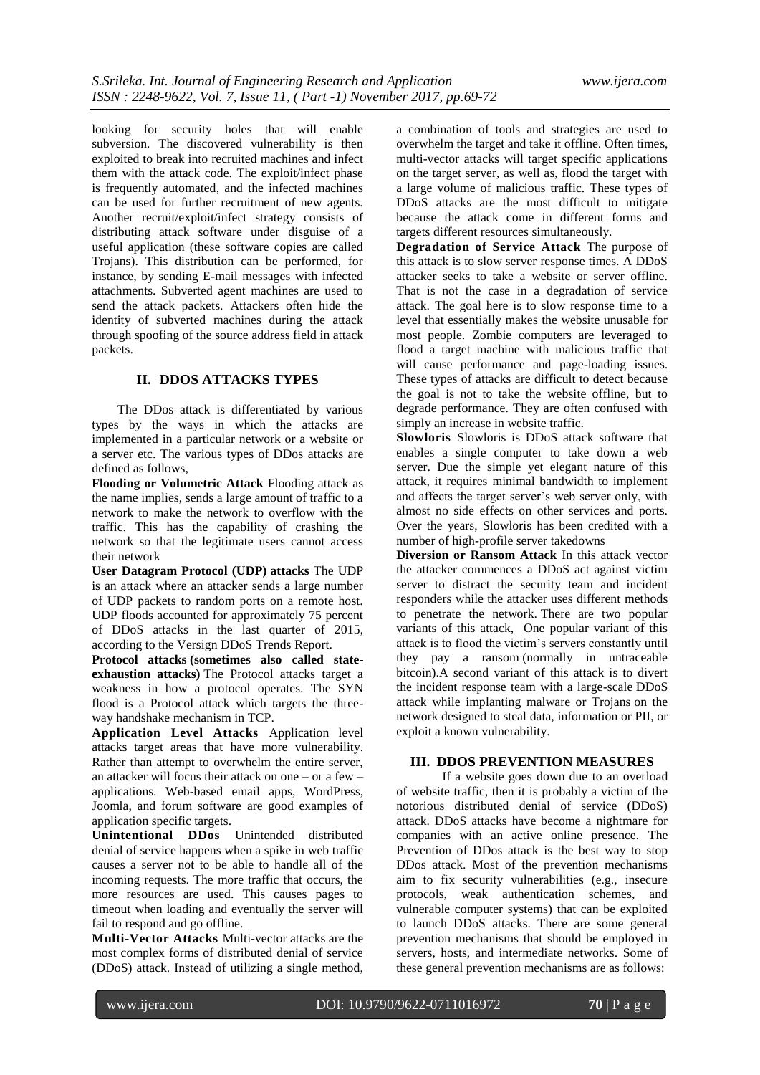looking for security holes that will enable subversion. The discovered vulnerability is then exploited to break into recruited machines and infect them with the attack code. The exploit/infect phase is frequently automated, and the infected machines can be used for further recruitment of new agents. Another recruit/exploit/infect strategy consists of distributing attack software under disguise of a useful application (these software copies are called Trojans). This distribution can be performed, for instance, by sending E-mail messages with infected attachments. Subverted agent machines are used to send the attack packets. Attackers often hide the identity of subverted machines during the attack through spoofing of the source address field in attack packets.

## **II. DDOS ATTACKS TYPES**

 The DDos attack is differentiated by various types by the ways in which the attacks are implemented in a particular network or a website or a server etc. The various types of DDos attacks are defined as follows,

**Flooding or Volumetric Attack** Flooding attack as the name implies, sends a large amount of traffic to a network to make the network to overflow with the traffic. This has the capability of crashing the network so that the legitimate users cannot access their network

**[User Datagram Protocol \(UDP\)](https://en.wikipedia.org/wiki/User_Datagram_Protocol) [attacks](https://en.wikipedia.org/wiki/UDP_flood_attack)** The UDP is an attack where an attacker sends a large number of UDP packets to random ports on a remote host. UDP floods accounted for approximately 75 percent of DDoS attacks in the last quarter of 2015, according to the Versign DDoS Trends Report.

**Protocol attacks [\(sometimes also called state](http://www.calyptix.com/top-threats/ddos-attacks-101-types-targets-motivations/)[exhaustion attacks\)](http://www.calyptix.com/top-threats/ddos-attacks-101-types-targets-motivations/)** The Protocol attacks target a weakness in how a protocol operates. The SYN flood is a Protocol attack which targets the threeway handshake mechanism in TCP.

**Application Level Attacks** Application level attacks target areas that have more vulnerability. Rather than attempt to overwhelm the entire server, an attacker will focus their attack on one – or a few – applications. Web-based email apps, WordPress, Joomla, and forum software are good examples of application specific targets.

**Unintentional DDos** Unintended distributed denial of service happens when a spike in web traffic causes a server not to be able to handle all of the incoming requests. The more traffic that occurs, the more resources are used. This causes pages to timeout when loading and eventually the server will fail to respond and go offline.

**Multi-Vector Attacks** Multi-vector attacks are the most complex forms of distributed denial of service (DDoS) attack. Instead of utilizing a single method,

a combination of tools and strategies are used to overwhelm the target and take it offline. Often times, multi-vector attacks will target specific applications on the target server, as well as, flood the target with a large volume of malicious traffic. These types of DDoS attacks are the most difficult to mitigate because the attack come in different forms and targets different resources simultaneously.

**Degradation of Service Attack** The purpose of this attack is to slow server response times. A DDoS attacker seeks to take a website or server offline. That is not the case in a degradation of service attack. The goal here is to slow response time to a level that essentially makes the website unusable for most people. Zombie computers are leveraged to flood a target machine with malicious traffic that will cause performance and page-loading issues. These types of attacks are difficult to detect because the goal is not to take the website offline, but to degrade performance. They are often confused with simply an increase in website traffic.

**Slowloris** Slowloris is DDoS attack software that enables a single computer to take down a web server. Due the simple yet elegant nature of this attack, it requires minimal bandwidth to implement and affects the target server's web server only, with almost no side effects on other services and ports. Over the years, Slowloris has been credited with a number of high-profile server takedowns

**Diversion or Ransom Attack** In this attack vector the attacker commences a DDoS act against victim server to distract the security team and incident responders while the attacker uses different methods to penetrate the network. There are two popular variants of this attack, One popular variant of this attack is to flood the victim's servers constantly [until](http://www.bankinfosecurity.com/cyber-extortion-fighting-ddos-attacks-a-8828/op-1)  [they pay a ransom](http://www.bankinfosecurity.com/cyber-extortion-fighting-ddos-attacks-a-8828/op-1) (normally in untraceable bitcoin).A second variant of this attack is to divert the incident response team with a large-scale [DDoS](http://www.csoonline.com/article/2986967/advanced-persistent-threats/ddos-attacks-a-perfect-smoke-screen-for-apts-and-silent-data-breaches.html)  [attack while implanting malware or Trojans](http://www.csoonline.com/article/2986967/advanced-persistent-threats/ddos-attacks-a-perfect-smoke-screen-for-apts-and-silent-data-breaches.html) on the network designed to steal data, information or PII, or exploit a known vulnerability.

## **III. DDOS PREVENTION MEASURES**

If a website goes down due to an overload of website traffic, then it is probably a victim of the notorious distributed denial of service (DDoS) attack. DDoS attacks have become a nightmare for companies with an active online presence. The Prevention of DDos attack is the best way to stop DDos attack. Most of the prevention mechanisms aim to fix security vulnerabilities (e.g., insecure protocols, weak authentication schemes, and vulnerable computer systems) that can be exploited to launch DDoS attacks. There are some general prevention mechanisms that should be employed in servers, hosts, and intermediate networks. Some of these general prevention mechanisms are as follows: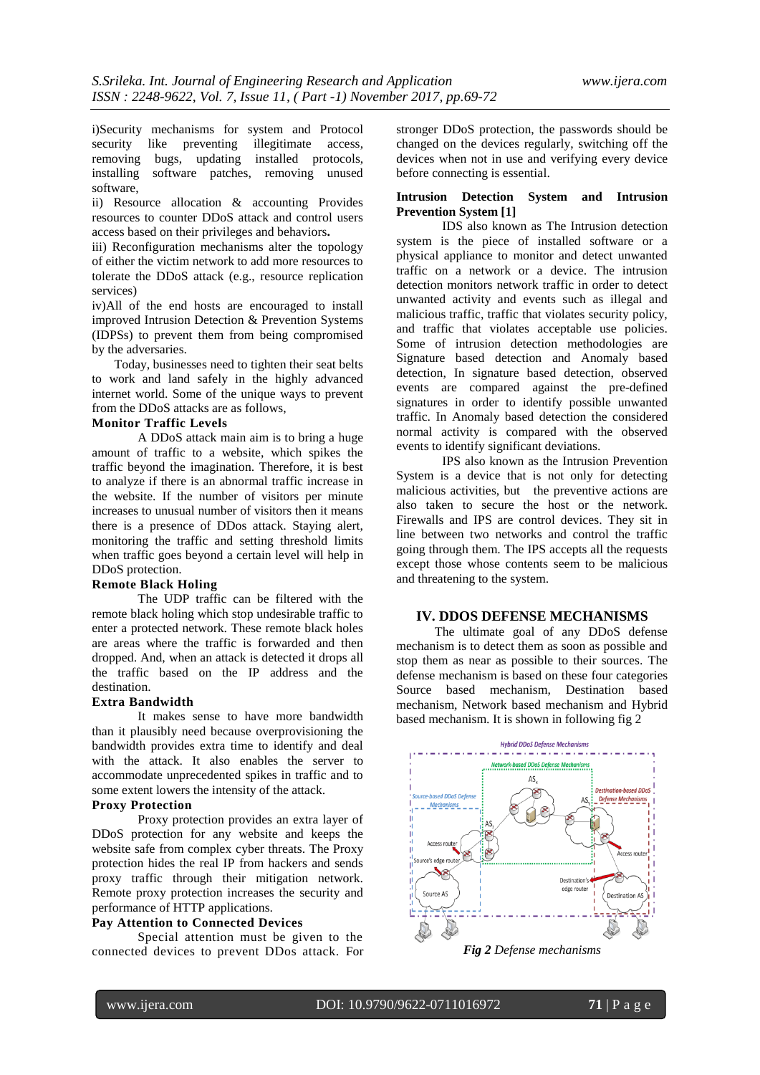i)Security mechanisms for system and Protocol security like preventing illegitimate access, removing bugs, updating installed protocols, installing software patches, removing unused software,

ii) Resource allocation & accounting Provides resources to counter DDoS attack and control users access based on their privileges and behaviors**.**

iii) Reconfiguration mechanisms alter the topology of either the victim network to add more resources to tolerate the DDoS attack (e.g., resource replication services)

iv)All of the end hosts are encouraged to install improved Intrusion Detection & Prevention Systems (IDPSs) to prevent them from being compromised by the adversaries.

 Today, businesses need to tighten their seat belts to work and land safely in the highly advanced internet world. Some of the unique ways to prevent from the DDoS attacks are as follows,

## **Monitor Traffic Levels**

A DDoS attack main aim is to bring a huge amount of traffic to a website, which spikes the traffic beyond the imagination. Therefore, it is best to analyze if there is an abnormal traffic increase in the website. If the number of visitors per minute increases to unusual number of visitors then it means there is a presence of DDos attack. Staying alert, monitoring the traffic and setting threshold limits when traffic goes beyond a certain level will help in DDoS protection.

## **Remote Black Holing**

The UDP traffic can be filtered with the remote black holing which stop undesirable traffic to enter a protected network. These remote black holes are areas where the traffic is forwarded and then dropped. And, when an attack is detected it drops all the traffic based on the IP address and the destination.

## **Extra Bandwidth**

It makes sense to have more bandwidth than it plausibly need because overprovisioning the bandwidth provides extra time to identify and deal with the attack. It also enables the server to accommodate unprecedented spikes in traffic and to some extent lowers the intensity of the attack.

## **Proxy Protection**

Proxy protection provides an extra layer of DDoS protection for any website and keeps the website safe from complex cyber threats. The Proxy protection hides the real IP from hackers and sends proxy traffic through their mitigation network. Remote proxy protection increases the security and performance of HTTP applications.

## **Pay Attention to Connected Devices**

Special attention must be given to the connected devices to prevent DDos attack. For stronger DDoS protection, the passwords should be changed on the devices regularly, switching off the devices when not in use and verifying every device before connecting is essential.

## **Intrusion Detection System and Intrusion Prevention System [1]**

IDS also known as The Intrusion detection system is the piece of installed software or a physical appliance to monitor and detect unwanted traffic on a network or a device. The intrusion detection monitors network traffic in order to detect unwanted activity and events such as illegal and malicious traffic, traffic that violates security policy, and traffic that violates acceptable use policies. Some of intrusion detection methodologies are Signature based detection and Anomaly based detection, In signature based detection, observed events are compared against the pre-defined signatures in order to identify possible unwanted traffic. In Anomaly based detection the considered normal activity is compared with the observed events to identify significant deviations.

IPS also known as the Intrusion Prevention System is a device that is not only for detecting malicious activities, but the preventive actions are also taken to secure the host or the network. Firewalls and IPS are control devices. They sit in line between two networks and control the traffic going through them. The IPS accepts all the requests except those whose contents seem to be malicious and threatening to the system.

## **IV. DDOS DEFENSE MECHANISMS**

 The ultimate goal of any DDoS defense mechanism is to detect them as soon as possible and stop them as near as possible to their sources. The defense mechanism is based on these four categories Source based mechanism, Destination based mechanism, Network based mechanism and Hybrid based mechanism. It is shown in following fig 2